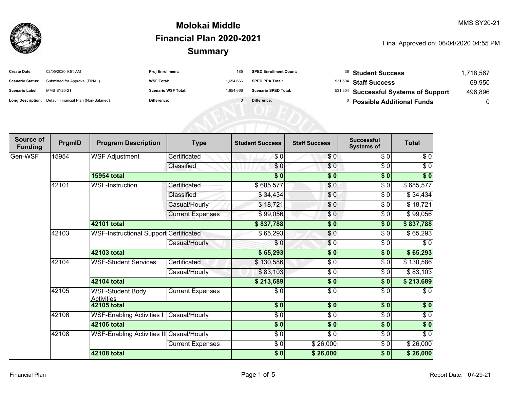

| <b>Create Date:</b>     | 02/05/2020 9:51 AM                                      | <b>Proj Enrollment:</b>    | 185       | <b>SPED Enrollment Count:</b> | <sup>36</sup> Student Success         | ,718,567 |
|-------------------------|---------------------------------------------------------|----------------------------|-----------|-------------------------------|---------------------------------------|----------|
| <b>Scenario Status:</b> | Submitted for Approval (FINAL)                          | <b>WSF Total:</b>          | 1,654,666 | <b>SPED PPA Total:</b>        | <sup>531,504</sup> Staff Success      | 69,950   |
| <b>Scenario Label:</b>  | <b>MMS SY20-21</b>                                      | <b>Scenario WSF Total:</b> | 1.654.666 | <b>Scenario SPED Total:</b>   | 531,504 Successful Systems of Support | 496,896  |
|                         | Long Description: Default Financial Plan (Non-Salaried) | Difference:                |           | Difference:                   | <b>Possible Additional Funds</b>      |          |

| Source of<br><b>Funding</b> | PrgmID | <b>Program Description</b>                   | <b>Type</b>             | <b>Student Success</b> | <b>Staff Success</b> | <b>Successful</b><br><b>Systems of</b> | <b>Total</b>     |
|-----------------------------|--------|----------------------------------------------|-------------------------|------------------------|----------------------|----------------------------------------|------------------|
| Gen-WSF                     | 15954  | <b>WSF Adjustment</b>                        | Certificated            | \$0                    | \$0]                 | \$0                                    | \$0              |
|                             |        |                                              | Classified              | \$0                    | $\frac{6}{6}$        | $\sqrt{6}$                             | $\sqrt{6}$       |
|                             |        | <b>15954 total</b>                           |                         | $\frac{1}{2}$          | \$0                  | \$0                                    | $\sqrt[6]{}$     |
|                             | 42101  | WSF-Instruction                              | Certificated            | \$685,577              | \$0                  | \$0                                    | \$685,577        |
|                             |        |                                              | Classified              | \$34,434               | \$0                  | \$0                                    | \$34,434         |
|                             |        |                                              | Casual/Hourly           | \$18,721               | $\frac{6}{6}$        | \$0                                    | \$18,721         |
|                             |        |                                              | <b>Current Expenses</b> | \$99,056               | $\frac{6}{6}$        | \$0                                    | \$99,056         |
|                             |        | 42101 total                                  |                         | \$837,788              | $\sqrt{6}$           | \$0                                    | \$837,788        |
|                             | 42103  | WSF-Instructional Support Certificated       |                         | \$65,293               | $\frac{6}{3}$        | \$0                                    | \$65,293         |
|                             |        |                                              | Casual/Hourly           | \$0                    | \$0                  | \$0                                    | \$0              |
|                             |        | 42103 total                                  |                         | \$65,293               | $\sqrt{6}$           | $\sqrt{6}$                             | \$65,293         |
|                             | 42104  | <b>WSF-Student Services</b>                  | Certificated            | \$130,586              | $\frac{3}{2}$        | $\sqrt{6}$                             | \$130,586        |
|                             |        |                                              | Casual/Hourly           | \$83,103               | $\frac{3}{2}$        | \$0                                    | \$83,103         |
|                             |        | <b>42104 total</b>                           |                         | \$213,689              | $\sqrt{6}$           | \$0                                    | \$213,689        |
|                             | 42105  | <b>WSF-Student Body</b><br><b>Activities</b> | <b>Current Expenses</b> | \$0                    | \$ 0                 | $\sqrt{6}$                             | \$0              |
|                             |        | <b>42105 total</b>                           |                         | $\frac{1}{2}$          | $\sqrt{6}$           | $\overline{\$0}$                       | $\overline{\$}0$ |
|                             | 42106  | <b>WSF-Enabling Activities I</b>             | Casual/Hourly           | $\frac{3}{6}$          | \$ 0                 | $\sqrt{6}$                             | $\sqrt{6}$       |
|                             |        | <b>42106 total</b>                           |                         | $\overline{\$0}$       | \$0                  | $\overline{\$0}$                       | $\overline{\$}0$ |
|                             | 42108  | WSF-Enabling Activities III Casual/Hourly    |                         | $\frac{3}{6}$          | $\sqrt{6}$           | $\sqrt{6}$                             | $\sqrt{6}$       |
|                             |        |                                              | <b>Current Expenses</b> | $\frac{1}{6}$          | \$26,000             | $\sqrt{6}$                             | \$26,000         |
|                             |        | <b>42108 total</b>                           |                         | \$0                    | \$26,000             | $\sqrt{6}$                             | \$26,000         |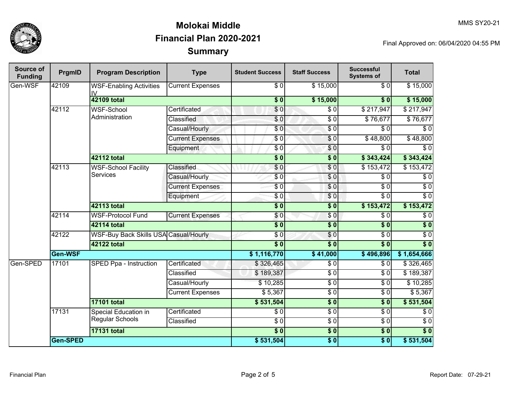

| Source of<br><b>Funding</b> | PrgmID   | <b>Program Description</b>                                  | <b>Type</b>             | <b>Student Success</b>   | <b>Staff Success</b> | <b>Successful</b><br><b>Systems of</b> | <b>Total</b>     |           |
|-----------------------------|----------|-------------------------------------------------------------|-------------------------|--------------------------|----------------------|----------------------------------------|------------------|-----------|
| Gen-WSF                     | 42109    | <b>WSF-Enabling Activities</b><br>I۷                        | <b>Current Expenses</b> | $\sqrt{6}$               | $\overline{$}15,000$ | $\overline{30}$                        | \$15,000         |           |
|                             |          | <b>42109 total</b>                                          |                         | $\overline{\textbf{50}}$ | \$15,000             | \$0                                    | \$15,000         |           |
|                             | 42112    | <b>WSF-School</b><br>Administration                         | Certificated            | $\overline{\$0}$         | $\overline{\$0}$     | \$217,947                              | \$217,947        |           |
|                             |          |                                                             | Classified              | \$0                      | $\sqrt{6}$           | \$76,677                               | \$76,677         |           |
|                             |          |                                                             | Casual/Hourly           | $\overline{S}0$          | $\sqrt{6}$           | $\overline{\$0}$                       | $\overline{\$0}$ |           |
|                             |          |                                                             | <b>Current Expenses</b> | \$0                      | \$0                  | \$48,800                               | \$48,800         |           |
|                             |          |                                                             | Equipment               | \$0                      | \$0                  | $\overline{\$0}$                       | $\overline{\$0}$ |           |
|                             |          | 42112 total                                                 |                         | $\overline{\$0}$         | $\overline{\$0}$     | \$343,424                              | \$343,424        |           |
|                             | 42113    | WSF-School Facility                                         | Classified              | $\overline{\$0}$         | $\frac{1}{\sqrt{2}}$ | \$153,472                              | \$153,472        |           |
|                             |          | <b>Services</b>                                             | Casual/Hourly           | \$0                      | $\sqrt{6}$           | $\overline{\$0}$                       | $\overline{$}0$  |           |
|                             |          |                                                             | <b>Current Expenses</b> | $\overline{S}0$          | \$0                  | $\overline{\$0}$                       | $\overline{\$0}$ |           |
|                             |          |                                                             | Equipment               | \$0                      | $\sqrt{6}$           | $\overline{\$0}$                       | $\overline{\$0}$ |           |
|                             |          | 42113 total                                                 |                         | $\overline{\$0}$         | $\overline{\$0}$     | \$153,472                              | \$153,472        |           |
|                             | 42114    | <b>WSF-Protocol Fund</b>                                    | <b>Current Expenses</b> | \$0                      | \$0                  | $\overline{\$0}$                       | $\overline{$}0$  |           |
|                             |          | 42114 total                                                 |                         | $\overline{\textbf{50}}$ | $\overline{\$0}$     | $\overline{\$0}$                       | $\sqrt{6}$       |           |
|                             | 42122    | <b>WSF-Buy Back Skills USA Casual/Hourly</b><br>42122 total |                         | \$0                      | \$0                  | $\overline{\$0}$                       | $\overline{\$0}$ |           |
|                             |          |                                                             |                         | $\frac{1}{6}$            | s <sub>0</sub>       | $\overline{\$0}$                       | $\overline{\$0}$ |           |
|                             | Gen-WSF  |                                                             |                         |                          | \$41,000             | \$496,896                              | \$1,654,666      |           |
| Gen-SPED                    | 17101    |                                                             | SPED Ppa - Instruction  | Certificated             | \$326,465            | $\sqrt{3}$                             | \$0              | \$326,465 |
|                             |          |                                                             |                         | Classified               | \$189,387            | $\sqrt{6}$                             | $\overline{\$0}$ | \$189,387 |
|                             |          |                                                             | Casual/Hourly           | \$10,285                 | $\sqrt{6}$           | $\overline{\$0}$                       | \$10,285         |           |
|                             |          |                                                             | <b>Current Expenses</b> | \$5,367                  | $\frac{6}{6}$        | $\overline{\$0}$                       | \$5,367          |           |
|                             |          | <b>17101 total</b>                                          |                         | \$531,504                | \$0                  | $\overline{\$0}$                       | \$531,504        |           |
|                             | 17131    | <b>Special Education in</b><br>Regular Schools              | Certificated            | \$0                      | $\sqrt{6}$           | $\overline{\$0}$                       | $\overline{\$0}$ |           |
|                             |          |                                                             | Classified              | $\overline{\$0}$         | $\sqrt{6}$           | $\overline{\$0}$                       | $\overline{\$0}$ |           |
|                             |          | <b>17131 total</b>                                          |                         | $\frac{1}{6}$            | $\sqrt{6}$           | 30                                     | $\overline{\$0}$ |           |
|                             | Gen-SPED |                                                             |                         | \$531,504                | $\frac{1}{2}$        | $\overline{\$0}$                       | \$531,504        |           |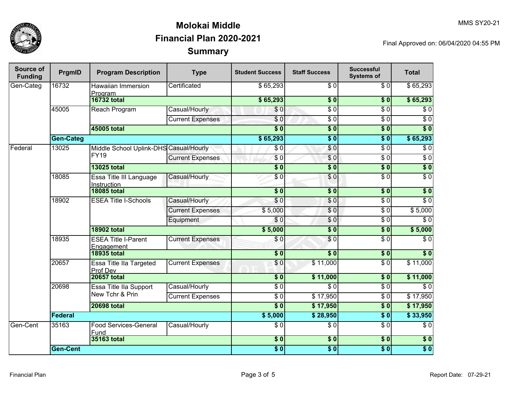

| Source of<br><b>Funding</b> | PrgmID           | <b>Program Description</b>                       | <b>Type</b>             | <b>Student Success</b>   | <b>Staff Success</b>        | <b>Successful</b><br><b>Systems of</b> | <b>Total</b>     |
|-----------------------------|------------------|--------------------------------------------------|-------------------------|--------------------------|-----------------------------|----------------------------------------|------------------|
| Gen-Categ                   | 16732            | <b>Hawaiian Immersion</b><br>Program             | Certificated            | \$65,293                 | $\overline{S}$ <sub>0</sub> | $\overline{30}$                        | \$65,293         |
|                             |                  | <b>16732 total</b>                               |                         | \$65,293                 | \$0                         | \$0                                    | \$65,293         |
|                             | 45005            | Reach Program                                    | Casual/Hourly           | \$0                      | \$ 0                        | $\overline{\$0}$                       | $\overline{\$0}$ |
|                             |                  |                                                  | <b>Current Expenses</b> | $\overline{\$0}$         | \$ 0                        | $\overline{\$0}$                       | $\overline{\$0}$ |
|                             |                  | 45005 total                                      |                         | $\overline{\$0}$         | $\overline{\$0}$            | $\overline{\$0}$                       | $\overline{\$0}$ |
|                             | <b>Gen-Categ</b> |                                                  |                         | \$65,293                 | $\overline{\$0}$            | s <sub>0</sub>                         | \$65,293         |
| Federal                     | 13025            | Middle School Uplink-DHS Casual/Hourly           |                         | \$0                      | $\sqrt{6}$                  | $\overline{\$0}$                       | $\overline{\$0}$ |
|                             |                  | <b>FY19</b>                                      | <b>Current Expenses</b> | \$0                      | $\overline{\$0}$            | $\overline{\$0}$                       | $\overline{\$0}$ |
|                             |                  | <b>13025 total</b>                               |                         | $\overline{\textbf{50}}$ | $\overline{\$0}$            | s <sub>0</sub>                         | $\overline{\$0}$ |
|                             | 18085            | Essa Title III Language<br>Instruction           | Casual/Hourly           | \$0                      | $\sqrt{6}$                  | $\overline{\$0}$                       | $\overline{\$0}$ |
|                             |                  | <b>18085 total</b>                               |                         | $\overline{\$0}$         | $\overline{\bullet}$ 0      | $\overline{\$0}$                       | $\overline{\$0}$ |
|                             | 18902            | <b>ESEA Title I-Schools</b>                      | Casual/Hourly           | \$0                      | \$0                         | \$0                                    | $\overline{S}0$  |
|                             |                  |                                                  | <b>Current Expenses</b> | \$5,000                  | \$0                         | $\sqrt{6}$                             | \$5,000          |
|                             |                  |                                                  | Equipment               | \$0                      | \$0                         | \$0                                    | $\overline{\$0}$ |
|                             |                  | <b>18902 total</b>                               |                         | \$5,000                  | $\overline{\$0}$            | $\overline{\$0}$                       | \$5,000          |
|                             | 18935            | <b>ESEA Title I-Parent</b><br>Engagement         | <b>Current Expenses</b> | \$0                      | \$0                         | $\sqrt{6}$                             | $\sqrt{6}$       |
|                             |                  | <b>18935 total</b>                               |                         | $\overline{\$0}$         | $\overline{\bullet}$ 0      | s <sub>0</sub>                         | $\overline{\$0}$ |
|                             | 20657            | Essa Title IIa Targeted<br>Prof Dev              | <b>Current Expenses</b> | \$0                      | \$11,000                    | $\overline{\$0}$                       | \$11,000         |
|                             |                  | <b>20657 total</b>                               |                         | \$0                      | \$11,000                    | $\overline{\$0}$                       | \$11,000         |
|                             | 20698            | <b>Essa Title IIa Support</b><br>New Tchr & Prin | Casual/Hourly           | $\overline{\$0}$         | $\overline{\$0}$            | $\overline{\$0}$                       | $\overline{\$0}$ |
|                             |                  |                                                  | <b>Current Expenses</b> | $\overline{\$0}$         | \$17,950                    | $\overline{\$0}$                       | \$17,950         |
|                             |                  | <b>20698 total</b>                               |                         | $\overline{\$0}$         | \$17,950                    | $\overline{\$0}$                       | \$17,950         |
|                             | Federal          |                                                  |                         | \$5,000                  | \$28,950                    | s <sub>0</sub>                         | \$33,950         |
| Gen-Cent                    | 35163            | <b>Food Services-General</b><br>Fund             | Casual/Hourly           | $\overline{\$0}$         | $\overline{\$0}$            | $\overline{\$0}$                       | $\overline{\$0}$ |
|                             |                  | 35163 total                                      |                         | \$0                      | $\overline{\$0}$            | \$0                                    | \$0              |
|                             | <b>Gen-Cent</b>  |                                                  |                         | $\overline{\$0}$         | $\overline{\$0}$            | \$0                                    | $\overline{\$0}$ |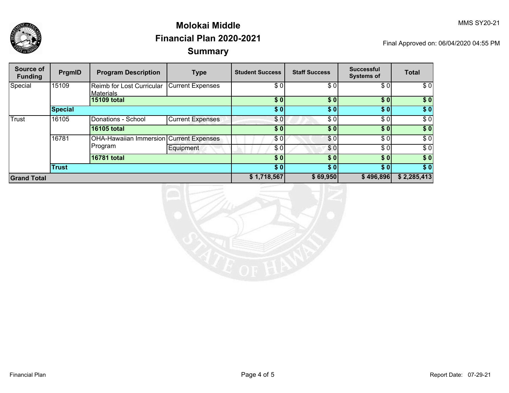

| Source of<br><b>Funding</b> | PrgmID         | <b>Program Description</b>                     | <b>Type</b>             | <b>Student Success</b> | <b>Staff Success</b> | <b>Successful</b><br><b>Systems of</b> | <b>Total</b> |
|-----------------------------|----------------|------------------------------------------------|-------------------------|------------------------|----------------------|----------------------------------------|--------------|
| Special                     | 15109          | Reimb for Lost Curricular<br><b>Materials</b>  | Current Expenses        | \$0                    | \$0                  | \$0                                    | \$0          |
|                             |                | 15109 total                                    |                         | \$0                    | \$0                  | \$0]                                   | \$0          |
|                             | <b>Special</b> |                                                |                         | \$0]                   | \$0                  | \$0                                    | \$0          |
| Trust                       | 16105          | Donations - School                             | <b>Current Expenses</b> | \$0                    | \$0                  | \$0                                    | \$0          |
|                             |                | <b>16105 total</b>                             |                         | \$0                    | \$0                  | \$0]                                   | \$0          |
|                             | 16781          | <b>OHA-Hawaiian Immersion Current Expenses</b> |                         | \$0                    | \$0                  | \$0                                    | \$0          |
|                             |                | Program                                        |                         | Equipment              | \$0                  | \$0                                    | \$0          |
|                             |                | 16781 total                                    |                         | \$0                    | \$0                  | \$0                                    | \$0          |
|                             | <b>Trust</b>   |                                                |                         | \$0]                   | \$0                  | \$0                                    | \$0          |
| <b>Grand Total</b>          |                |                                                | \$1,718,567             | \$69,950               | \$496,896            | \$2,285,413                            |              |